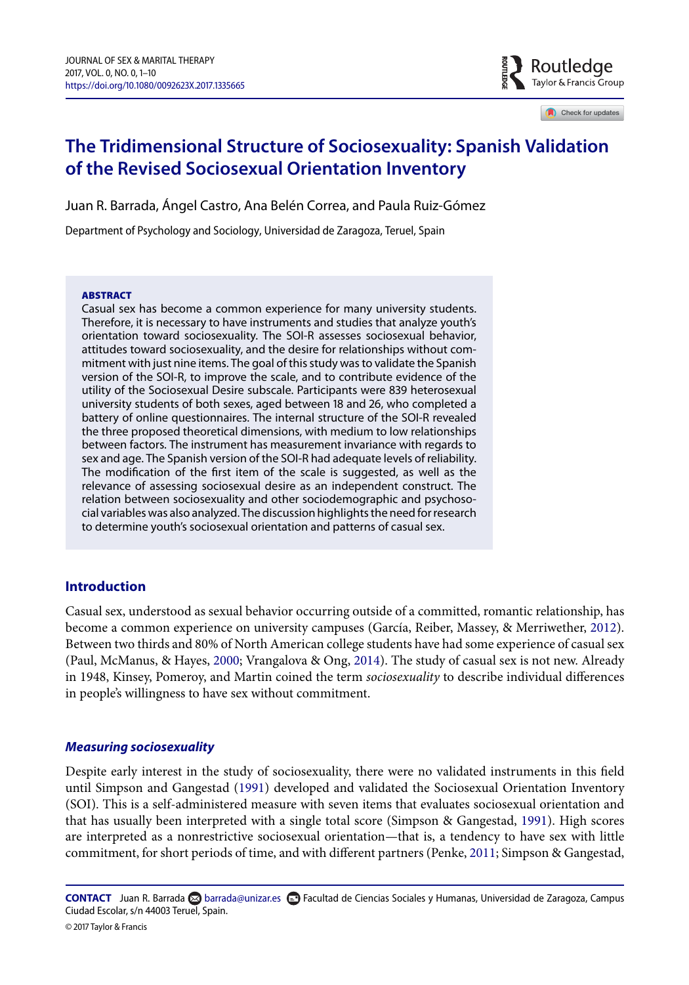$\frac{3}{2}$  Routledge Taylor & Francis Group

Check for updates

# **The Tridimensional Structure of Sociosexuality: Spanish Validation of the Revised Sociosexual Orientation Inventory**

Juan R. Barrada, Ángel Castro, Ana Belén Correa, and Paula Ruiz-Gómez

Department of Psychology and Sociology, Universidad de Zaragoza, Teruel, Spain

#### **ABSTRACT**

Casual sex has become a common experience for many university students. Therefore, it is necessary to have instruments and studies that analyze youth's orientation toward sociosexuality. The SOI-R assesses sociosexual behavior, attitudes toward sociosexuality, and the desire for relationships without commitment with just nine items. The goal of this study was to validate the Spanish version of the SOI-R, to improve the scale, and to contribute evidence of the utility of the Sociosexual Desire subscale. Participants were 839 heterosexual university students of both sexes, aged between 18 and 26, who completed a battery of online questionnaires. The internal structure of the SOI-R revealed the three proposed theoretical dimensions, with medium to low relationships between factors. The instrument has measurement invariance with regards to sex and age. The Spanish version of the SOI-R had adequate levels of reliability. The modification of the first item of the scale is suggested, as well as the relevance of assessing sociosexual desire as an independent construct. The relation between sociosexuality and other sociodemographic and psychosocial variables was also analyzed. The discussion highlights the need for research to determine youth's sociosexual orientation and patterns of casual sex.

# **Introduction**

Casual sex, understood as sexual behavior occurring outside of a committed, romantic relationship, has become a common experience on university campuses (García, Reiber, Massey, & Merriwether, [2012\)](#page-8-0). Between two thirds and 80% of North American college students have had some experience of casual sex (Paul, McManus, & Hayes, [2000;](#page-9-0) Vrangalova & Ong, [2014\)](#page-9-1). The study of casual sex is not new. Already in 1948, Kinsey, Pomeroy, and Martin coined the term *sociosexuality* to describe individual differences in people's willingness to have sex without commitment.

### *Measuring sociosexuality*

Despite early interest in the study of sociosexuality, there were no validated instruments in this field until Simpson and Gangestad [\(1991\)](#page-9-2) developed and validated the Sociosexual Orientation Inventory (SOI). This is a self-administered measure with seven items that evaluates sociosexual orientation and that has usually been interpreted with a single total score (Simpson & Gangestad, [1991\)](#page-9-2). High scores are interpreted as a nonrestrictive sociosexual orientation—that is, a tendency to have sex with little commitment, for short periods of time, and with different partners (Penke, [2011;](#page-9-3) Simpson & Gangestad,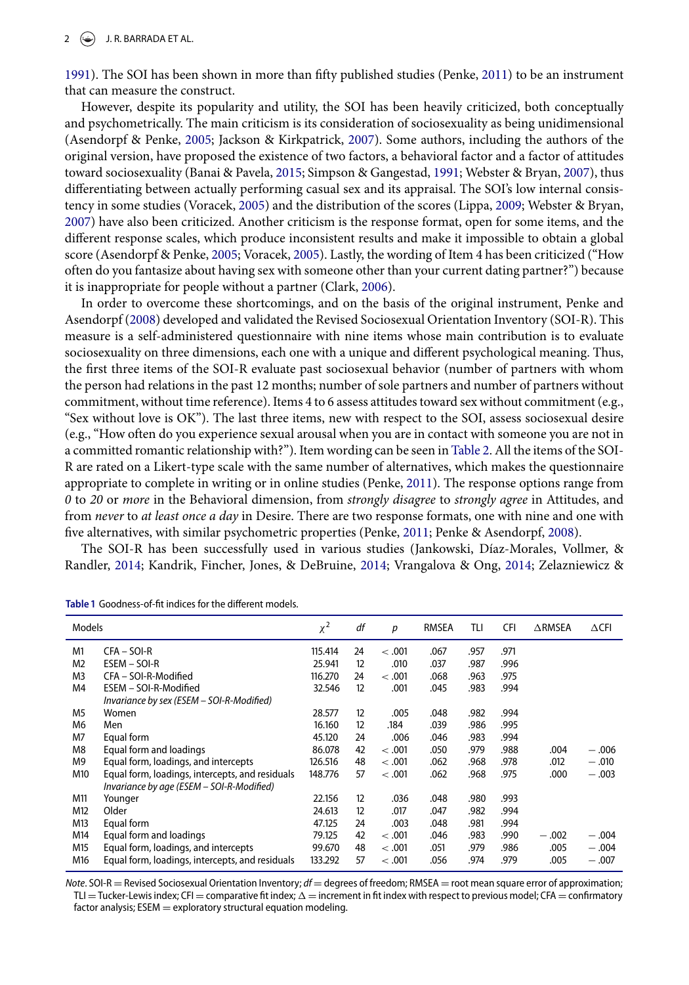[1991\)](#page-9-2). The SOI has been shown in more than fifty published studies (Penke, [2011\)](#page-9-3) to be an instrument that can measure the construct.

However, despite its popularity and utility, the SOI has been heavily criticized, both conceptually and psychometrically. The main criticism is its consideration of sociosexuality as being unidimensional (Asendorpf & Penke, [2005;](#page-8-1) Jackson & Kirkpatrick, [2007\)](#page-9-4). Some authors, including the authors of the original version, have proposed the existence of two factors, a behavioral factor and a factor of attitudes toward sociosexuality (Banai & Pavela, [2015;](#page-8-2) Simpson & Gangestad, [1991;](#page-9-2) Webster & Bryan, [2007\)](#page-9-5), thus differentiating between actually performing casual sex and its appraisal. The SOI's low internal consistency in some studies (Voracek, [2005\)](#page-9-6) and the distribution of the scores (Lippa, [2009;](#page-9-7) Webster & Bryan, [2007\)](#page-9-5) have also been criticized. Another criticism is the response format, open for some items, and the different response scales, which produce inconsistent results and make it impossible to obtain a global score (Asendorpf & Penke, [2005;](#page-8-1) Voracek, [2005\)](#page-9-6). Lastly, the wording of Item 4 has been criticized ("How often do you fantasize about having sex with someone other than your current dating partner?") because it is inappropriate for people without a partner (Clark, [2006\)](#page-8-3).

In order to overcome these shortcomings, and on the basis of the original instrument, Penke and Asendorpf [\(2008\)](#page-9-8) developed and validated the Revised Sociosexual Orientation Inventory (SOI-R). This measure is a self-administered questionnaire with nine items whose main contribution is to evaluate sociosexuality on three dimensions, each one with a unique and different psychological meaning. Thus, the first three items of the SOI-R evaluate past sociosexual behavior (number of partners with whom the person had relations in the past 12 months; number of sole partners and number of partners without commitment, without time reference). Items 4 to 6 assess attitudes toward sex without commitment (e.g., "Sex without love is OK"). The last three items, new with respect to the SOI, assess sociosexual desire (e.g., "How often do you experience sexual arousal when you are in contact with someone you are not in a committed romantic relationship with?"). Item wording can be seen in Table 2. All the items of the SOI-R are rated on a Likert-type scale with the same number of alternatives, which makes the questionnaire appropriate to complete in writing or in online studies (Penke, [2011\)](#page-9-3). The response options range from *0* to *20* or *more* in the Behavioral dimension, from *strongly disagree* to *strongly agree* in Attitudes, and from *never* to *at least once a day* in Desire. There are two response formats, one with nine and one with five alternatives, with similar psychometric properties (Penke, [2011;](#page-9-3) Penke & Asendorpf, [2008\)](#page-9-8).

The SOI-R has been successfully used in various studies (Jankowski, Díaz-Morales, Vollmer, & Randler, [2014;](#page-9-9) Kandrik, Fincher, Jones, & DeBruine, [2014;](#page-9-10) Vrangalova & Ong, [2014;](#page-9-1) Zelazniewicz &

| Models         |                                                 | $\chi^2$ | df | р       | <b>RMSEA</b> | TLI  | <b>CFI</b> | $\triangle$ RMSEA | $\triangle$ CFI |
|----------------|-------------------------------------------------|----------|----|---------|--------------|------|------------|-------------------|-----------------|
| M1             | $CFA - SOL-R$                                   | 115.414  | 24 | < 0.001 | .067         | .957 | .971       |                   |                 |
| M <sub>2</sub> | ESEM - SOI-R                                    | 25.941   | 12 | .010    | .037         | .987 | .996       |                   |                 |
| M <sub>3</sub> | CFA - SOI-R-Modified                            | 116.270  | 24 | < 0.001 | .068         | .963 | .975       |                   |                 |
| M4             | ESEM - SOI-R-Modified                           | 32.546   | 12 | .001    | .045         | .983 | .994       |                   |                 |
|                | Invariance by sex (ESEM - SOI-R-Modified)       |          |    |         |              |      |            |                   |                 |
| M <sub>5</sub> | Women                                           | 28.577   | 12 | .005    | .048         | .982 | .994       |                   |                 |
| M <sub>6</sub> | Men                                             | 16.160   | 12 | .184    | .039         | .986 | .995       |                   |                 |
| M7             | Equal form                                      | 45.120   | 24 | .006    | .046         | .983 | .994       |                   |                 |
| M <sub>8</sub> | Equal form and loadings                         | 86.078   | 42 | < .001  | .050         | .979 | .988       | .004              | $-.006$         |
| M9             | Equal form, loadings, and intercepts            | 126.516  | 48 | < .001  | .062         | .968 | .978       | .012              | $-.010$         |
| M10            | Equal form, loadings, intercepts, and residuals | 148.776  | 57 | < 0.001 | .062         | .968 | .975       | .000              | $-.003$         |
|                | Invariance by age (ESEM – SOI-R-Modified)       |          |    |         |              |      |            |                   |                 |
| M11            | Younger                                         | 22.156   | 12 | .036    | .048         | .980 | .993       |                   |                 |
| M12            | Older                                           | 24.613   | 12 | .017    | .047         | .982 | .994       |                   |                 |
| M13            | Equal form                                      | 47.125   | 24 | .003    | .048         | .981 | .994       |                   |                 |
| M14            | Equal form and loadings                         | 79.125   | 42 | < 0.001 | .046         | .983 | .990       | $-.002$           | $-.004$         |
| M15            | Equal form, loadings, and intercepts            | 99.670   | 48 | < .001  | .051         | .979 | .986       | .005              | $-.004$         |
| M16            | Equal form, loadings, intercepts, and residuals | 133.292  | 57 | < 0.001 | .056         | .974 | .979       | .005              | $-.007$         |

<span id="page-1-0"></span>Table 1 Goodness-of-fit indices for the different models.

*Note*. SOI-R = Revised Sociosexual Orientation Inventory; *df* = degrees of freedom; RMSEA = root mean square error of approximation; TLI = Tucker-Lewis index; CFI = comparative fit index;  $\Delta$  = increment in fit index with respect to previous model; CFA = confirmatory factor analysis;  $ESEM =$  exploratory structural equation modeling.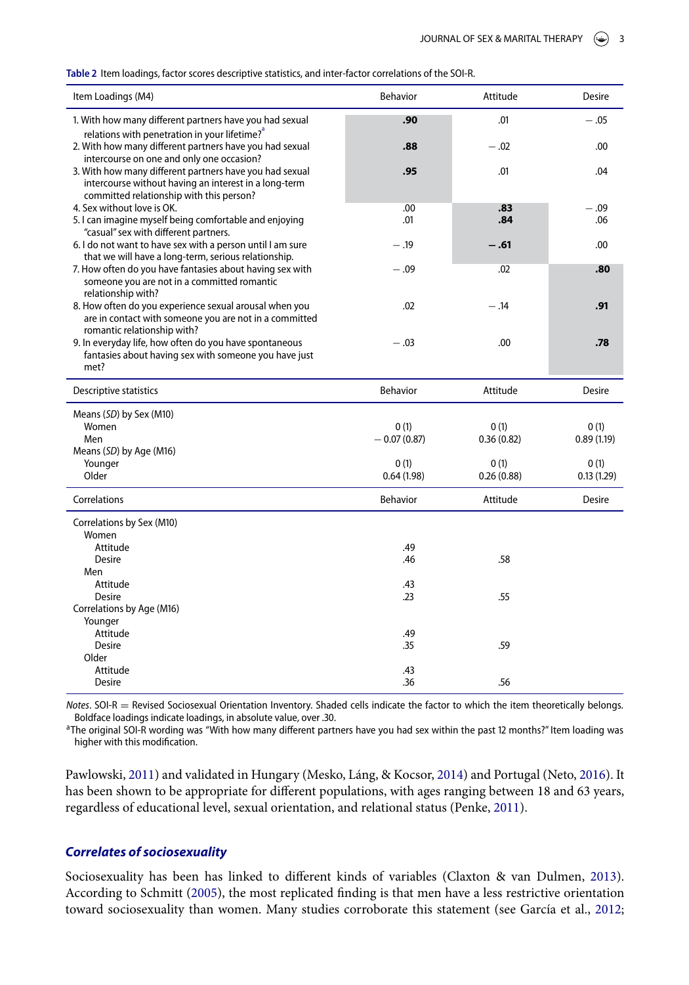<span id="page-2-1"></span>

| Table 2 Item loadings, factor scores descriptive statistics, and inter-factor correlations of the SOI-R. |  |  |
|----------------------------------------------------------------------------------------------------------|--|--|
|                                                                                                          |  |  |

| .01<br>1. With how many different partners have you had sexual<br>.90<br>$-.05$<br>relations with penetration in your lifetime? <sup>ª</sup><br>2. With how many different partners have you had sexual<br>$-.02$<br>.88<br>.00<br>intercourse on one and only one occasion?<br>3. With how many different partners have you had sexual<br>.95<br>.01<br>.04<br>intercourse without having an interest in a long-term<br>committed relationship with this person?<br>4. Sex without love is OK.<br>.00<br>.83<br>$-.09$<br>5. I can imagine myself being comfortable and enjoying<br>.01<br>.84<br>.06<br>"casual" sex with different partners.<br>6. I do not want to have sex with a person until I am sure<br>$-.19$<br>$-.61$<br>.00<br>that we will have a long-term, serious relationship.<br>7. How often do you have fantasies about having sex with<br>.02<br>.80<br>$-.09$<br>someone you are not in a committed romantic<br>relationship with?<br>8. How often do you experience sexual arousal when you<br>.02<br>$-.14$<br>.91<br>are in contact with someone you are not in a committed<br>romantic relationship with?<br>9. In everyday life, how often do you have spontaneous<br>$-.03$<br>.00<br>.78<br>fantasies about having sex with someone you have just<br>met?<br>Descriptive statistics<br>Behavior<br>Attitude<br>Desire<br>Means (SD) by Sex (M10)<br>Women<br>0(1)<br>0(1)<br>0(1)<br>Men<br>$-0.07(0.87)$<br>0.36(0.82)<br>0.89(1.19)<br>Means (SD) by Age (M16)<br>Younger<br>0(1)<br>0(1)<br>0(1)<br>Older<br>0.64(1.98)<br>0.26(0.88)<br>0.13(1.29)<br>Correlations<br><b>Behavior</b><br>Attitude<br><b>Desire</b><br>Correlations by Sex (M10)<br>Women<br>.49<br>Attitude<br>.58<br><b>Desire</b><br>.46<br>Men<br>Attitude<br>.43<br>.55<br><b>Desire</b><br>.23<br>Correlations by Age (M16)<br>Younger<br>Attitude<br>.49<br>Desire<br>.59<br>.35<br>Older<br>Attitude<br>.43<br>.36<br>.56<br>Desire | Item Loadings (M4) | <b>Behavior</b> | Attitude | Desire |
|----------------------------------------------------------------------------------------------------------------------------------------------------------------------------------------------------------------------------------------------------------------------------------------------------------------------------------------------------------------------------------------------------------------------------------------------------------------------------------------------------------------------------------------------------------------------------------------------------------------------------------------------------------------------------------------------------------------------------------------------------------------------------------------------------------------------------------------------------------------------------------------------------------------------------------------------------------------------------------------------------------------------------------------------------------------------------------------------------------------------------------------------------------------------------------------------------------------------------------------------------------------------------------------------------------------------------------------------------------------------------------------------------------------------------------------------------------------------------------------------------------------------------------------------------------------------------------------------------------------------------------------------------------------------------------------------------------------------------------------------------------------------------------------------------------------------------------------------------------------------------------------------------------------------------------------------|--------------------|-----------------|----------|--------|
|                                                                                                                                                                                                                                                                                                                                                                                                                                                                                                                                                                                                                                                                                                                                                                                                                                                                                                                                                                                                                                                                                                                                                                                                                                                                                                                                                                                                                                                                                                                                                                                                                                                                                                                                                                                                                                                                                                                                              |                    |                 |          |        |
|                                                                                                                                                                                                                                                                                                                                                                                                                                                                                                                                                                                                                                                                                                                                                                                                                                                                                                                                                                                                                                                                                                                                                                                                                                                                                                                                                                                                                                                                                                                                                                                                                                                                                                                                                                                                                                                                                                                                              |                    |                 |          |        |
|                                                                                                                                                                                                                                                                                                                                                                                                                                                                                                                                                                                                                                                                                                                                                                                                                                                                                                                                                                                                                                                                                                                                                                                                                                                                                                                                                                                                                                                                                                                                                                                                                                                                                                                                                                                                                                                                                                                                              |                    |                 |          |        |
|                                                                                                                                                                                                                                                                                                                                                                                                                                                                                                                                                                                                                                                                                                                                                                                                                                                                                                                                                                                                                                                                                                                                                                                                                                                                                                                                                                                                                                                                                                                                                                                                                                                                                                                                                                                                                                                                                                                                              |                    |                 |          |        |
|                                                                                                                                                                                                                                                                                                                                                                                                                                                                                                                                                                                                                                                                                                                                                                                                                                                                                                                                                                                                                                                                                                                                                                                                                                                                                                                                                                                                                                                                                                                                                                                                                                                                                                                                                                                                                                                                                                                                              |                    |                 |          |        |
|                                                                                                                                                                                                                                                                                                                                                                                                                                                                                                                                                                                                                                                                                                                                                                                                                                                                                                                                                                                                                                                                                                                                                                                                                                                                                                                                                                                                                                                                                                                                                                                                                                                                                                                                                                                                                                                                                                                                              |                    |                 |          |        |
|                                                                                                                                                                                                                                                                                                                                                                                                                                                                                                                                                                                                                                                                                                                                                                                                                                                                                                                                                                                                                                                                                                                                                                                                                                                                                                                                                                                                                                                                                                                                                                                                                                                                                                                                                                                                                                                                                                                                              |                    |                 |          |        |
|                                                                                                                                                                                                                                                                                                                                                                                                                                                                                                                                                                                                                                                                                                                                                                                                                                                                                                                                                                                                                                                                                                                                                                                                                                                                                                                                                                                                                                                                                                                                                                                                                                                                                                                                                                                                                                                                                                                                              |                    |                 |          |        |
|                                                                                                                                                                                                                                                                                                                                                                                                                                                                                                                                                                                                                                                                                                                                                                                                                                                                                                                                                                                                                                                                                                                                                                                                                                                                                                                                                                                                                                                                                                                                                                                                                                                                                                                                                                                                                                                                                                                                              |                    |                 |          |        |
|                                                                                                                                                                                                                                                                                                                                                                                                                                                                                                                                                                                                                                                                                                                                                                                                                                                                                                                                                                                                                                                                                                                                                                                                                                                                                                                                                                                                                                                                                                                                                                                                                                                                                                                                                                                                                                                                                                                                              |                    |                 |          |        |
|                                                                                                                                                                                                                                                                                                                                                                                                                                                                                                                                                                                                                                                                                                                                                                                                                                                                                                                                                                                                                                                                                                                                                                                                                                                                                                                                                                                                                                                                                                                                                                                                                                                                                                                                                                                                                                                                                                                                              |                    |                 |          |        |
|                                                                                                                                                                                                                                                                                                                                                                                                                                                                                                                                                                                                                                                                                                                                                                                                                                                                                                                                                                                                                                                                                                                                                                                                                                                                                                                                                                                                                                                                                                                                                                                                                                                                                                                                                                                                                                                                                                                                              |                    |                 |          |        |
|                                                                                                                                                                                                                                                                                                                                                                                                                                                                                                                                                                                                                                                                                                                                                                                                                                                                                                                                                                                                                                                                                                                                                                                                                                                                                                                                                                                                                                                                                                                                                                                                                                                                                                                                                                                                                                                                                                                                              |                    |                 |          |        |
|                                                                                                                                                                                                                                                                                                                                                                                                                                                                                                                                                                                                                                                                                                                                                                                                                                                                                                                                                                                                                                                                                                                                                                                                                                                                                                                                                                                                                                                                                                                                                                                                                                                                                                                                                                                                                                                                                                                                              |                    |                 |          |        |
|                                                                                                                                                                                                                                                                                                                                                                                                                                                                                                                                                                                                                                                                                                                                                                                                                                                                                                                                                                                                                                                                                                                                                                                                                                                                                                                                                                                                                                                                                                                                                                                                                                                                                                                                                                                                                                                                                                                                              |                    |                 |          |        |
|                                                                                                                                                                                                                                                                                                                                                                                                                                                                                                                                                                                                                                                                                                                                                                                                                                                                                                                                                                                                                                                                                                                                                                                                                                                                                                                                                                                                                                                                                                                                                                                                                                                                                                                                                                                                                                                                                                                                              |                    |                 |          |        |
|                                                                                                                                                                                                                                                                                                                                                                                                                                                                                                                                                                                                                                                                                                                                                                                                                                                                                                                                                                                                                                                                                                                                                                                                                                                                                                                                                                                                                                                                                                                                                                                                                                                                                                                                                                                                                                                                                                                                              |                    |                 |          |        |
|                                                                                                                                                                                                                                                                                                                                                                                                                                                                                                                                                                                                                                                                                                                                                                                                                                                                                                                                                                                                                                                                                                                                                                                                                                                                                                                                                                                                                                                                                                                                                                                                                                                                                                                                                                                                                                                                                                                                              |                    |                 |          |        |
|                                                                                                                                                                                                                                                                                                                                                                                                                                                                                                                                                                                                                                                                                                                                                                                                                                                                                                                                                                                                                                                                                                                                                                                                                                                                                                                                                                                                                                                                                                                                                                                                                                                                                                                                                                                                                                                                                                                                              |                    |                 |          |        |
|                                                                                                                                                                                                                                                                                                                                                                                                                                                                                                                                                                                                                                                                                                                                                                                                                                                                                                                                                                                                                                                                                                                                                                                                                                                                                                                                                                                                                                                                                                                                                                                                                                                                                                                                                                                                                                                                                                                                              |                    |                 |          |        |
|                                                                                                                                                                                                                                                                                                                                                                                                                                                                                                                                                                                                                                                                                                                                                                                                                                                                                                                                                                                                                                                                                                                                                                                                                                                                                                                                                                                                                                                                                                                                                                                                                                                                                                                                                                                                                                                                                                                                              |                    |                 |          |        |
|                                                                                                                                                                                                                                                                                                                                                                                                                                                                                                                                                                                                                                                                                                                                                                                                                                                                                                                                                                                                                                                                                                                                                                                                                                                                                                                                                                                                                                                                                                                                                                                                                                                                                                                                                                                                                                                                                                                                              |                    |                 |          |        |
|                                                                                                                                                                                                                                                                                                                                                                                                                                                                                                                                                                                                                                                                                                                                                                                                                                                                                                                                                                                                                                                                                                                                                                                                                                                                                                                                                                                                                                                                                                                                                                                                                                                                                                                                                                                                                                                                                                                                              |                    |                 |          |        |
|                                                                                                                                                                                                                                                                                                                                                                                                                                                                                                                                                                                                                                                                                                                                                                                                                                                                                                                                                                                                                                                                                                                                                                                                                                                                                                                                                                                                                                                                                                                                                                                                                                                                                                                                                                                                                                                                                                                                              |                    |                 |          |        |
|                                                                                                                                                                                                                                                                                                                                                                                                                                                                                                                                                                                                                                                                                                                                                                                                                                                                                                                                                                                                                                                                                                                                                                                                                                                                                                                                                                                                                                                                                                                                                                                                                                                                                                                                                                                                                                                                                                                                              |                    |                 |          |        |
|                                                                                                                                                                                                                                                                                                                                                                                                                                                                                                                                                                                                                                                                                                                                                                                                                                                                                                                                                                                                                                                                                                                                                                                                                                                                                                                                                                                                                                                                                                                                                                                                                                                                                                                                                                                                                                                                                                                                              |                    |                 |          |        |
|                                                                                                                                                                                                                                                                                                                                                                                                                                                                                                                                                                                                                                                                                                                                                                                                                                                                                                                                                                                                                                                                                                                                                                                                                                                                                                                                                                                                                                                                                                                                                                                                                                                                                                                                                                                                                                                                                                                                              |                    |                 |          |        |
|                                                                                                                                                                                                                                                                                                                                                                                                                                                                                                                                                                                                                                                                                                                                                                                                                                                                                                                                                                                                                                                                                                                                                                                                                                                                                                                                                                                                                                                                                                                                                                                                                                                                                                                                                                                                                                                                                                                                              |                    |                 |          |        |
|                                                                                                                                                                                                                                                                                                                                                                                                                                                                                                                                                                                                                                                                                                                                                                                                                                                                                                                                                                                                                                                                                                                                                                                                                                                                                                                                                                                                                                                                                                                                                                                                                                                                                                                                                                                                                                                                                                                                              |                    |                 |          |        |
|                                                                                                                                                                                                                                                                                                                                                                                                                                                                                                                                                                                                                                                                                                                                                                                                                                                                                                                                                                                                                                                                                                                                                                                                                                                                                                                                                                                                                                                                                                                                                                                                                                                                                                                                                                                                                                                                                                                                              |                    |                 |          |        |

*Notes*. SOI-R = Revised Sociosexual Orientation Inventory. Shaded cells indicate the factor to which the item theoretically belongs. Boldface loadings indicate loadings, in absolute value, over .30.

<span id="page-2-0"></span><sup>a</sup>The original SOI-R wording was "With how many different partners have you had sex within the past 12 months?" Item loading was higher with this modification.

Pawlowski, [2011\)](#page-9-11) and validated in Hungary (Mesko, Láng, & Kocsor, [2014\)](#page-9-12) and Portugal (Neto, [2016\)](#page-9-13). It has been shown to be appropriate for different populations, with ages ranging between 18 and 63 years, regardless of educational level, sexual orientation, and relational status (Penke, [2011\)](#page-9-3).

# *Correlates of sociosexuality*

Sociosexuality has been has linked to different kinds of variables (Claxton & van Dulmen, [2013\)](#page-8-4). According to Schmitt [\(2005\)](#page-9-14), the most replicated finding is that men have a less restrictive orientation toward sociosexuality than women. Many studies corroborate this statement (see García et al., [2012;](#page-8-0)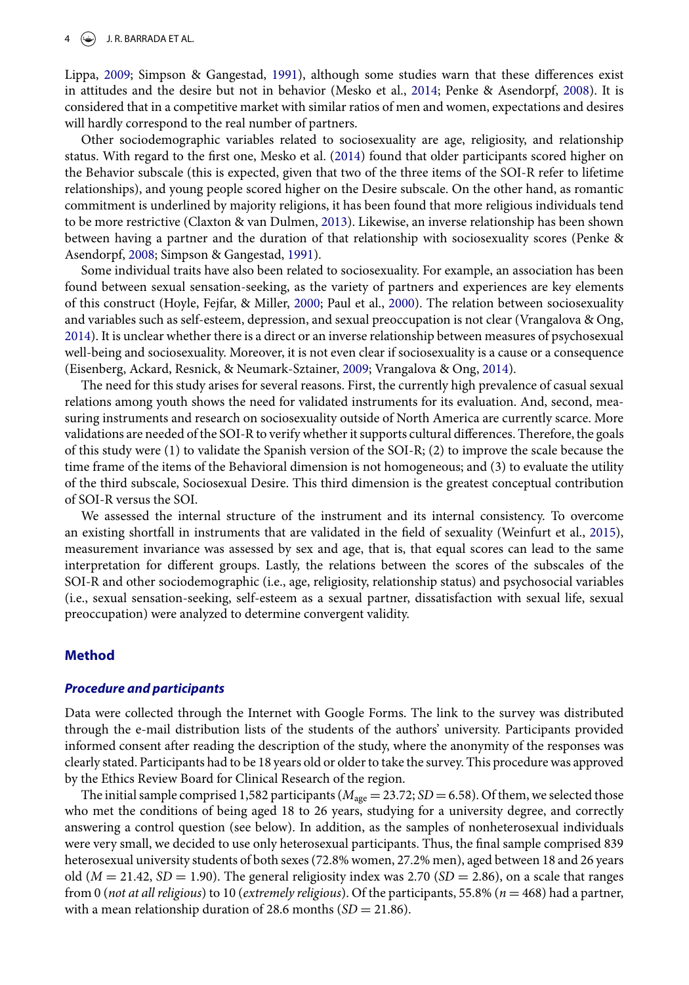Lippa, [2009;](#page-9-7) Simpson & Gangestad, [1991\)](#page-9-2), although some studies warn that these differences exist in attitudes and the desire but not in behavior (Mesko et al., [2014;](#page-9-12) Penke & Asendorpf, [2008\)](#page-9-8). It is considered that in a competitive market with similar ratios of men and women, expectations and desires will hardly correspond to the real number of partners.

Other sociodemographic variables related to sociosexuality are age, religiosity, and relationship status. With regard to the first one, Mesko et al. [\(2014\)](#page-9-12) found that older participants scored higher on the Behavior subscale (this is expected, given that two of the three items of the SOI-R refer to lifetime relationships), and young people scored higher on the Desire subscale. On the other hand, as romantic commitment is underlined by majority religions, it has been found that more religious individuals tend to be more restrictive (Claxton & van Dulmen, [2013\)](#page-8-4). Likewise, an inverse relationship has been shown between having a partner and the duration of that relationship with sociosexuality scores (Penke & Asendorpf, [2008;](#page-9-8) Simpson & Gangestad, [1991\)](#page-9-2).

Some individual traits have also been related to sociosexuality. For example, an association has been found between sexual sensation-seeking, as the variety of partners and experiences are key elements of this construct (Hoyle, Fejfar, & Miller, [2000;](#page-8-5) Paul et al., [2000\)](#page-9-0). The relation between sociosexuality and variables such as self-esteem, depression, and sexual preoccupation is not clear (Vrangalova & Ong, [2014\)](#page-9-1). It is unclear whether there is a direct or an inverse relationship between measures of psychosexual well-being and sociosexuality. Moreover, it is not even clear if sociosexuality is a cause or a consequence (Eisenberg, Ackard, Resnick, & Neumark-Sztainer, [2009;](#page-8-6) Vrangalova & Ong, [2014\)](#page-9-1).

The need for this study arises for several reasons. First, the currently high prevalence of casual sexual relations among youth shows the need for validated instruments for its evaluation. And, second, measuring instruments and research on sociosexuality outside of North America are currently scarce. More validations are needed of the SOI-R to verify whether it supports cultural differences. Therefore, the goals of this study were (1) to validate the Spanish version of the SOI-R; (2) to improve the scale because the time frame of the items of the Behavioral dimension is not homogeneous; and (3) to evaluate the utility of the third subscale, Sociosexual Desire. This third dimension is the greatest conceptual contribution of SOI-R versus the SOI.

We assessed the internal structure of the instrument and its internal consistency. To overcome an existing shortfall in instruments that are validated in the field of sexuality (Weinfurt et al., [2015\)](#page-9-15), measurement invariance was assessed by sex and age, that is, that equal scores can lead to the same interpretation for different groups. Lastly, the relations between the scores of the subscales of the SOI-R and other sociodemographic (i.e., age, religiosity, relationship status) and psychosocial variables (i.e., sexual sensation-seeking, self-esteem as a sexual partner, dissatisfaction with sexual life, sexual preoccupation) were analyzed to determine convergent validity.

## **Method**

#### *Procedure and participants*

Data were collected through the Internet with Google Forms. The link to the survey was distributed through the e-mail distribution lists of the students of the authors' university. Participants provided informed consent after reading the description of the study, where the anonymity of the responses was clearly stated. Participants had to be 18 years old or older to take the survey. This procedure was approved by the Ethics Review Board for Clinical Research of the region.

The initial sample comprised 1,582 participants ( $M_{\text{age}} = 23.72$ ; *SD* = 6.58). Of them, we selected those who met the conditions of being aged 18 to 26 years, studying for a university degree, and correctly answering a control question (see below). In addition, as the samples of nonheterosexual individuals were very small, we decided to use only heterosexual participants. Thus, the final sample comprised 839 heterosexual university students of both sexes (72.8% women, 27.2% men), aged between 18 and 26 years old ( $M = 21.42$ ,  $SD = 1.90$ ). The general religiosity index was 2.70 ( $SD = 2.86$ ), on a scale that ranges from 0 (*not at all religious*) to 10 (*extremely religious*). Of the participants, 55.8% (*n* = 468) had a partner, with a mean relationship duration of 28.6 months  $(SD = 21.86)$ .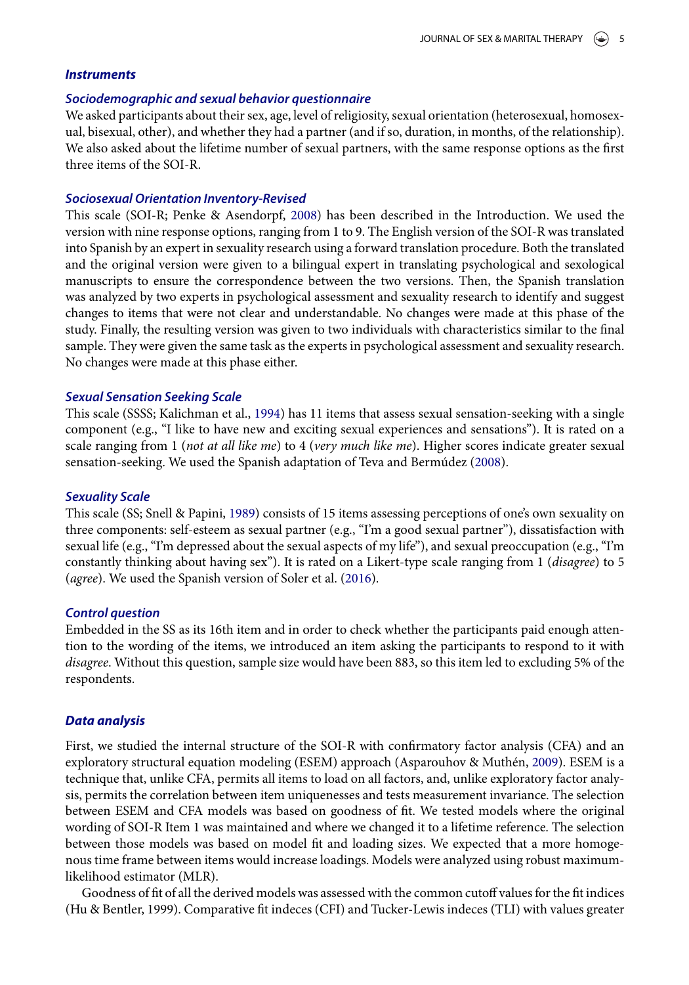#### *Instruments*

#### *Sociodemographic and sexual behavior questionnaire*

We asked participants about their sex, age, level of religiosity, sexual orientation (heterosexual, homosexual, bisexual, other), and whether they had a partner (and if so, duration, in months, of the relationship). We also asked about the lifetime number of sexual partners, with the same response options as the first three items of the SOI-R.

#### *Sociosexual Orientation Inventory-Revised*

This scale (SOI-R; Penke & Asendorpf, [2008\)](#page-9-8) has been described in the Introduction. We used the version with nine response options, ranging from 1 to 9. The English version of the SOI-R was translated into Spanish by an expert in sexuality research using a forward translation procedure. Both the translated and the original version were given to a bilingual expert in translating psychological and sexological manuscripts to ensure the correspondence between the two versions. Then, the Spanish translation was analyzed by two experts in psychological assessment and sexuality research to identify and suggest changes to items that were not clear and understandable. No changes were made at this phase of the study. Finally, the resulting version was given to two individuals with characteristics similar to the final sample. They were given the same task as the experts in psychological assessment and sexuality research. No changes were made at this phase either.

#### *Sexual Sensation Seeking Scale*

This scale (SSSS; Kalichman et al., [1994\)](#page-9-16) has 11 items that assess sexual sensation-seeking with a single component (e.g., "I like to have new and exciting sexual experiences and sensations"). It is rated on a scale ranging from 1 (*not at all like me*) to 4 (*very much like me*). Higher scores indicate greater sexual sensation-seeking. We used the Spanish adaptation of Teva and Bermúdez [\(2008\)](#page-9-17).

#### *Sexuality Scale*

This scale (SS; Snell & Papini, [1989\)](#page-9-18) consists of 15 items assessing perceptions of one's own sexuality on three components: self-esteem as sexual partner (e.g., "I'm a good sexual partner"), dissatisfaction with sexual life (e.g., "I'm depressed about the sexual aspects of my life"), and sexual preoccupation (e.g., "I'm constantly thinking about having sex"). It is rated on a Likert-type scale ranging from 1 (*disagree*) to 5 (*agree*). We used the Spanish version of Soler et al. [\(2016\)](#page-9-19).

#### *Control question*

Embedded in the SS as its 16th item and in order to check whether the participants paid enough attention to the wording of the items, we introduced an item asking the participants to respond to it with *disagree*. Without this question, sample size would have been 883, so this item led to excluding 5% of the respondents.

#### *Data analysis*

First, we studied the internal structure of the SOI-R with confirmatory factor analysis (CFA) and an exploratory structural equation modeling (ESEM) approach (Asparouhov & Muthén, [2009\)](#page-8-7). ESEM is a technique that, unlike CFA, permits all items to load on all factors, and, unlike exploratory factor analysis, permits the correlation between item uniquenesses and tests measurement invariance. The selection between ESEM and CFA models was based on goodness of fit. We tested models where the original wording of SOI-R Item 1 was maintained and where we changed it to a lifetime reference. The selection between those models was based on model fit and loading sizes. We expected that a more homogenous time frame between items would increase loadings. Models were analyzed using robust maximumlikelihood estimator (MLR).

Goodness of fit of all the derived models was assessed with the common cutoff values for the fit indices (Hu & Bentler, 1999). Comparative fit indeces (CFI) and Tucker-Lewis indeces (TLI) with values greater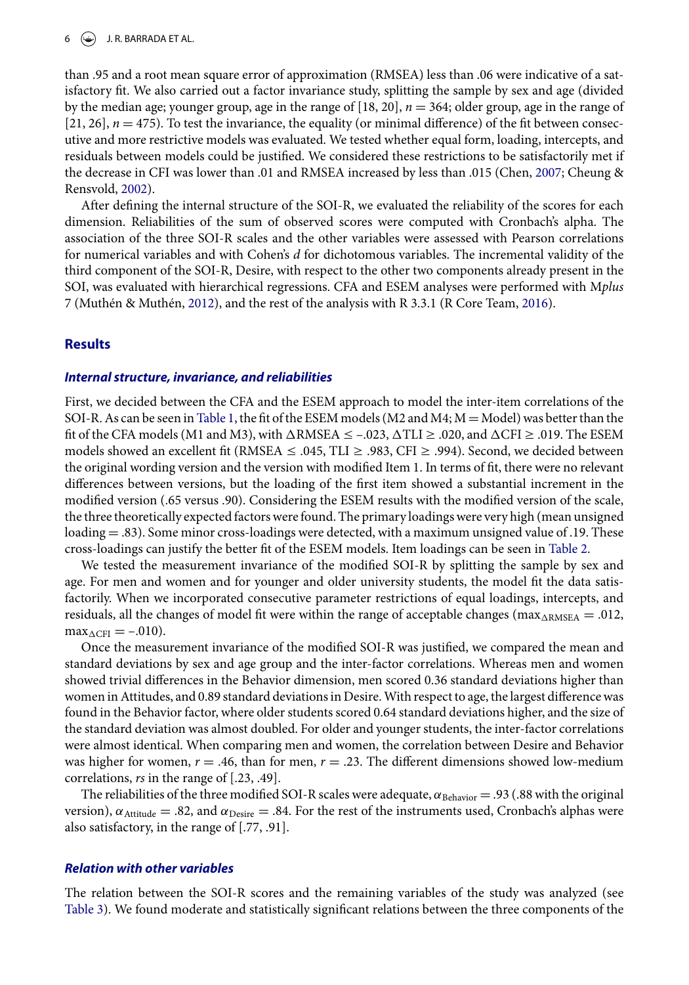than .95 and a root mean square error of approximation (RMSEA) less than .06 were indicative of a satisfactory fit. We also carried out a factor invariance study, splitting the sample by sex and age (divided by the median age; younger group, age in the range of [18, 20], *n* = 364; older group, age in the range of [21, 26],  $n = 475$ ). To test the invariance, the equality (or minimal difference) of the fit between consecutive and more restrictive models was evaluated. We tested whether equal form, loading, intercepts, and residuals between models could be justified. We considered these restrictions to be satisfactorily met if the decrease in CFI was lower than .01 and RMSEA increased by less than .015 (Chen, [2007;](#page-8-8) Cheung & Rensvold, [2002\)](#page-8-9).

After defining the internal structure of the SOI-R, we evaluated the reliability of the scores for each dimension. Reliabilities of the sum of observed scores were computed with Cronbach's alpha. The association of the three SOI-R scales and the other variables were assessed with Pearson correlations for numerical variables and with Cohen's *d* for dichotomous variables. The incremental validity of the third component of the SOI-R, Desire, with respect to the other two components already present in the SOI, was evaluated with hierarchical regressions. CFA and ESEM analyses were performed with M*plus* 7 (Muthén & Muthén, [2012\)](#page-9-20), and the rest of the analysis with R 3.3.1 (R Core Team, [2016\)](#page-9-21).

# **Results**

# *Internal structure, invariance, and reliabilities*

First, we decided between the CFA and the ESEM approach to model the inter-item correlations of the SOI-R. As can be seen in [Table 1,](#page-1-0) the fit of the ESEM models ( $M2$  and  $M4$ ;  $M =$  Model) was better than the fit of the CFA models (M1 and M3), with  $\Delta$ RMSEA  $\leq$  -.023,  $\Delta TLI \geq$  .020, and  $\Delta CFI \geq$  .019. The ESEM models showed an excellent fit (RMSEA ≤ .045, TLI ≥ .983, CFI ≥ .994). Second, we decided between the original wording version and the version with modified Item 1. In terms of fit, there were no relevant differences between versions, but the loading of the first item showed a substantial increment in the modified version (.65 versus .90). Considering the ESEM results with the modified version of the scale, the three theoretically expected factors were found. The primary loadings were very high (mean unsigned loading = .83). Some minor cross-loadings were detected, with a maximum unsigned value of .19. These cross-loadings can justify the better fit of the ESEM models. Item loadings can be seen in [Table 2.](#page-2-1)

We tested the measurement invariance of the modified SOI-R by splitting the sample by sex and age. For men and women and for younger and older university students, the model fit the data satisfactorily. When we incorporated consecutive parameter restrictions of equal loadings, intercepts, and residuals, all the changes of model fit were within the range of acceptable changes ( $\max_{\text{ARMSEA}} = .012$ ,  $max_{\Delta CFI} = -.010$ .

Once the measurement invariance of the modified SOI-R was justified, we compared the mean and standard deviations by sex and age group and the inter-factor correlations. Whereas men and women showed trivial differences in the Behavior dimension, men scored 0.36 standard deviations higher than women in Attitudes, and 0.89 standard deviations in Desire. With respect to age, the largest difference was found in the Behavior factor, where older students scored 0.64 standard deviations higher, and the size of the standard deviation was almost doubled. For older and younger students, the inter-factor correlations were almost identical. When comparing men and women, the correlation between Desire and Behavior was higher for women,  $r = .46$ , than for men,  $r = .23$ . The different dimensions showed low-medium correlations, *rs* in the range of [.23, .49].

The reliabilities of the three modified SOI-R scales were adequate,  $\alpha_{\text{Behavior}} = .93$  (.88 with the original version),  $\alpha_{\text{Attitude}} = .82$ , and  $\alpha_{\text{Desire}} = .84$ . For the rest of the instruments used, Cronbach's alphas were also satisfactory, in the range of [.77, .91].

# *Relation with other variables*

The relation between the SOI-R scores and the remaining variables of the study was analyzed (see [Table 3\)](#page-6-0). We found moderate and statistically significant relations between the three components of the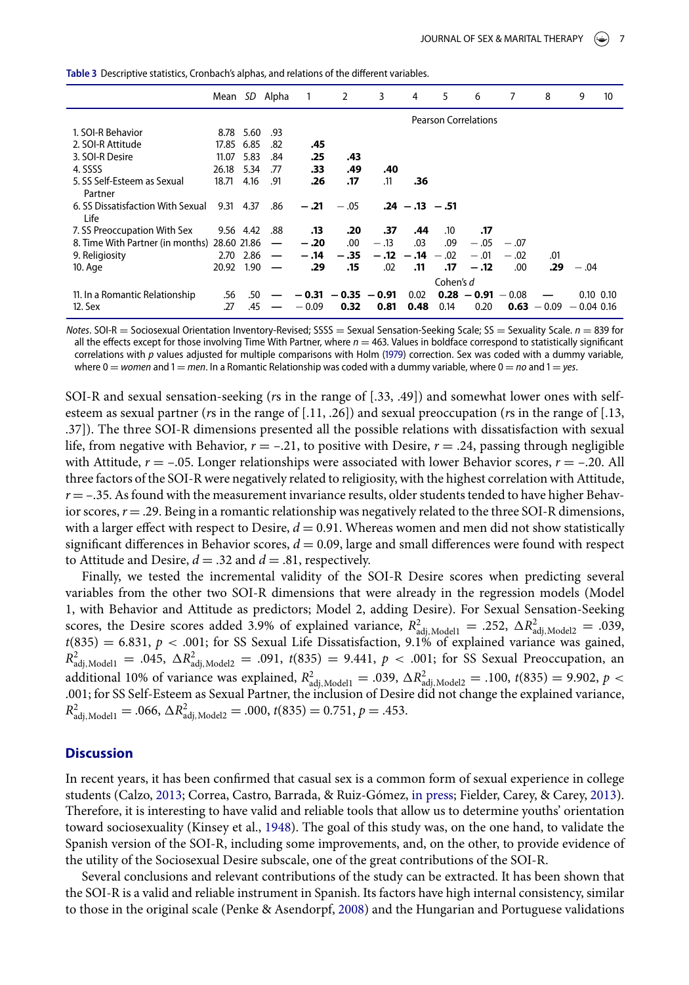<span id="page-6-0"></span>Table 3 Descriptive statistics, Cronbach's alphas, and relations of the different variables.

|                                              |           |            | Mean SD Alpha            | $\overline{1}$ | 2                     | 3                           | 4                 | 5         | 6                    | 7      | 8             | 9            | 10            |  |  |
|----------------------------------------------|-----------|------------|--------------------------|----------------|-----------------------|-----------------------------|-------------------|-----------|----------------------|--------|---------------|--------------|---------------|--|--|
|                                              |           |            |                          |                |                       | <b>Pearson Correlations</b> |                   |           |                      |        |               |              |               |  |  |
| 1. SOI-R Behavior                            |           | 8.78 5.60  | .93                      |                |                       |                             |                   |           |                      |        |               |              |               |  |  |
| 2. SOI-R Attitude                            |           | 17.85 6.85 | .82                      | .45            |                       |                             |                   |           |                      |        |               |              |               |  |  |
| 3. SOI-R Desire                              | 11.07     | 5.83       | .84                      | .25            | .43                   |                             |                   |           |                      |        |               |              |               |  |  |
| 4. SSSS                                      | 26.18     | 5.34       | .77                      | .33            | .49                   | .40                         |                   |           |                      |        |               |              |               |  |  |
| 5. SS Self-Esteem as Sexual<br>Partner       | 18.71     | 4.16       | .91                      | .26            | .17                   | .11                         | .36               |           |                      |        |               |              |               |  |  |
| 6. SS Dissatisfaction With Sexual<br>Life    | 9.31 4.37 |            | .86                      | $-.21$         | $-.05$                |                             | $.24 - .13 - .51$ |           |                      |        |               |              |               |  |  |
| 7. SS Preoccupation With Sex                 |           | 9.56 4.42  | .88                      | .13            | .20                   | .37                         | .44               | $.10\,$   | .17                  |        |               |              |               |  |  |
| 8. Time With Partner (in months) 28.60 21.86 |           |            | $\overline{\phantom{m}}$ | $-.20$         | $.00\,$               | $-.13$                      | .03               | .09       | $-.05$               | $-.07$ |               |              |               |  |  |
| 9. Religiosity                               | 2.70      | 2.86       | $\overline{\phantom{m}}$ | $-.14$         | $-.35$                |                             | $-12 - 14 - 02$   |           | $-.01$               | $-.02$ | .01           |              |               |  |  |
| 10. Age                                      | 20.92     | 1.90       |                          | .29            | .15                   | .02                         | .11               | .17       | $-.12$               | .00    | .29           | $-.04$       |               |  |  |
|                                              |           |            |                          |                |                       |                             |                   | Cohen's d |                      |        |               |              |               |  |  |
| 11. In a Romantic Relationship               | .56       | .50        |                          |                | $-0.31 - 0.35 - 0.91$ |                             | 0.02              |           | $0.28 - 0.91 - 0.08$ |        |               |              | $0.10 \ 0.10$ |  |  |
| 12. Sex                                      | .27       | .45        |                          | $-0.09$        | 0.32                  | 0.81                        | 0.48              | 0.14      | 0.20                 |        | $0.63 - 0.09$ | $-0.04$ 0.16 |               |  |  |

*Notes*. SOI-R = Sociosexual Orientation Inventory-Revised; SSSS = Sexual Sensation-Seeking Scale; SS = Sexuality Scale. *n* = 839 for all the effects except for those involving Time With Partner, where  $n = 463$ . Values in boldface correspond to statistically significant correlations with p values adjusted for multiple comparisons with Holm (1979) correction. Sex was coded with a dummy variable, where  $0 =$  *women* and  $1 =$  *men*. In a Romantic Relationship was coded with a dummy variable, where  $0 =$  *no* and  $1 =$  *yes*.

SOI-R and sexual sensation-seeking (*r*s in the range of [.33, .49]) and somewhat lower ones with selfesteem as sexual partner (*r*s in the range of [.11, .26]) and sexual preoccupation (*r*s in the range of [.13, .37]). The three SOI-R dimensions presented all the possible relations with dissatisfaction with sexual life, from negative with Behavior,  $r = -0.21$ , to positive with Desire,  $r = 0.24$ , passing through negligible with Attitude,  $r = -.05$ . Longer relationships were associated with lower Behavior scores,  $r = -.20$ . All three factors of the SOI-R were negatively related to religiosity, with the highest correlation with Attitude,  $r = -.35$ . As found with the measurement invariance results, older students tended to have higher Behavior scores,  $r = .29$ . Being in a romantic relationship was negatively related to the three SOI-R dimensions, with a larger effect with respect to Desire,  $d = 0.91$ . Whereas women and men did not show statistically significant differences in Behavior scores,  $d = 0.09$ , large and small differences were found with respect to Attitude and Desire,  $d = .32$  and  $d = .81$ , respectively.

Finally, we tested the incremental validity of the SOI-R Desire scores when predicting several variables from the other two SOI-R dimensions that were already in the regression models (Model 1, with Behavior and Attitude as predictors; Model 2, adding Desire). For Sexual Sensation-Seeking scores, the Desire scores added 3.9% of explained variance,  $R_{\text{adj, Model1}}^2 = .252$ ,  $\Delta R_{\text{adj, Model2}}^2 = .039$ ,  $t(835) = 6.831$ ,  $p < .001$ ; for SS Sexual Life Dissatisfaction, 9.1% of explained variance was gained,  $R^2_{\text{adj, Model1}} = .045, \ \Delta R^2_{\text{adj, Model2}} = .091, \ t(835) = 9.441, \ p < .001; \text{ for SS \text{S} S}$  Sexual Preoccupation, an additional 10% of variance was explained,  $R_{\text{adj, Model1}}^2 = .039$ ,  $\Delta R_{\text{adj, Model2}}^2 = .100$ ,  $t(835) = 9.902$ ,  $p <$ .001; for SS Self-Esteem as Sexual Partner, the inclusion of Desire did not change the explained variance,  $R^2_{\text{adj, Model1}} = .066, \, \Delta R^2_{\text{adj, Model2}} = .000, \, t(835) = 0.751, \, p = .453.$ 

#### **Discussion**

In recent years, it has been confirmed that casual sex is a common form of sexual experience in college students (Calzo, [2013;](#page-8-11) Correa, Castro, Barrada, & Ruiz-Gómez, [in press;](#page-8-12) Fielder, Carey, & Carey, [2013\)](#page-8-13). Therefore, it is interesting to have valid and reliable tools that allow us to determine youths' orientation toward sociosexuality (Kinsey et al., [1948\)](#page-9-22). The goal of this study was, on the one hand, to validate the Spanish version of the SOI-R, including some improvements, and, on the other, to provide evidence of the utility of the Sociosexual Desire subscale, one of the great contributions of the SOI-R.

Several conclusions and relevant contributions of the study can be extracted. It has been shown that the SOI-R is a valid and reliable instrument in Spanish. Its factors have high internal consistency, similar to those in the original scale (Penke & Asendorpf, [2008\)](#page-9-8) and the Hungarian and Portuguese validations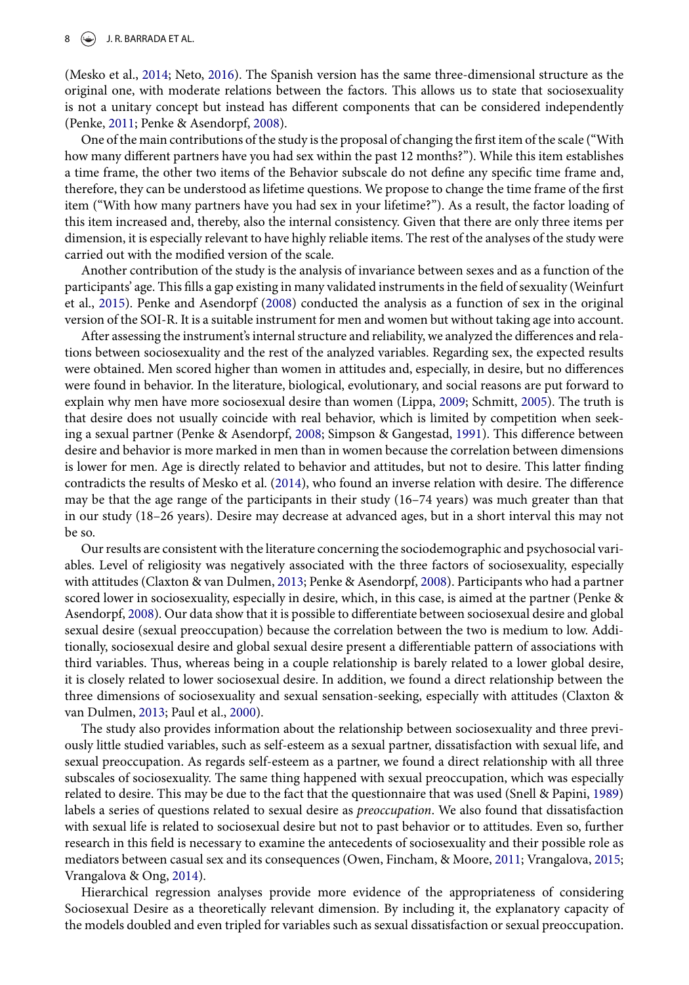(Mesko et al., [2014;](#page-9-12) Neto, [2016\)](#page-9-13). The Spanish version has the same three-dimensional structure as the original one, with moderate relations between the factors. This allows us to state that sociosexuality is not a unitary concept but instead has different components that can be considered independently (Penke, [2011;](#page-9-3) Penke & Asendorpf, [2008\)](#page-9-8).

One of the main contributions of the study is the proposal of changing the first item of the scale ("With how many different partners have you had sex within the past 12 months?"). While this item establishes a time frame, the other two items of the Behavior subscale do not define any specific time frame and, therefore, they can be understood as lifetime questions. We propose to change the time frame of the first item ("With how many partners have you had sex in your lifetime?"). As a result, the factor loading of this item increased and, thereby, also the internal consistency. Given that there are only three items per dimension, it is especially relevant to have highly reliable items. The rest of the analyses of the study were carried out with the modified version of the scale.

Another contribution of the study is the analysis of invariance between sexes and as a function of the participants' age. This fills a gap existing in many validated instruments in the field of sexuality (Weinfurt et al., [2015\)](#page-9-15). Penke and Asendorpf [\(2008\)](#page-9-8) conducted the analysis as a function of sex in the original version of the SOI-R. It is a suitable instrument for men and women but without taking age into account.

After assessing the instrument's internal structure and reliability, we analyzed the differences and relations between sociosexuality and the rest of the analyzed variables. Regarding sex, the expected results were obtained. Men scored higher than women in attitudes and, especially, in desire, but no differences were found in behavior. In the literature, biological, evolutionary, and social reasons are put forward to explain why men have more sociosexual desire than women (Lippa, [2009;](#page-9-7) Schmitt, [2005\)](#page-9-14). The truth is that desire does not usually coincide with real behavior, which is limited by competition when seeking a sexual partner (Penke & Asendorpf, [2008;](#page-9-8) Simpson & Gangestad, [1991\)](#page-9-2). This difference between desire and behavior is more marked in men than in women because the correlation between dimensions is lower for men. Age is directly related to behavior and attitudes, but not to desire. This latter finding contradicts the results of Mesko et al. [\(2014\)](#page-9-12), who found an inverse relation with desire. The difference may be that the age range of the participants in their study (16–74 years) was much greater than that in our study (18–26 years). Desire may decrease at advanced ages, but in a short interval this may not be so.

Our results are consistent with the literature concerning the sociodemographic and psychosocial variables. Level of religiosity was negatively associated with the three factors of sociosexuality, especially with attitudes (Claxton & van Dulmen, [2013;](#page-8-4) Penke & Asendorpf, [2008\)](#page-9-8). Participants who had a partner scored lower in sociosexuality, especially in desire, which, in this case, is aimed at the partner (Penke & Asendorpf, [2008\)](#page-9-8). Our data show that it is possible to differentiate between sociosexual desire and global sexual desire (sexual preoccupation) because the correlation between the two is medium to low. Additionally, sociosexual desire and global sexual desire present a differentiable pattern of associations with third variables. Thus, whereas being in a couple relationship is barely related to a lower global desire, it is closely related to lower sociosexual desire. In addition, we found a direct relationship between the three dimensions of sociosexuality and sexual sensation-seeking, especially with attitudes (Claxton & van Dulmen, [2013;](#page-8-4) Paul et al., [2000\)](#page-9-0).

The study also provides information about the relationship between sociosexuality and three previously little studied variables, such as self-esteem as a sexual partner, dissatisfaction with sexual life, and sexual preoccupation. As regards self-esteem as a partner, we found a direct relationship with all three subscales of sociosexuality. The same thing happened with sexual preoccupation, which was especially related to desire. This may be due to the fact that the questionnaire that was used (Snell & Papini, [1989\)](#page-9-18) labels a series of questions related to sexual desire as *preoccupation*. We also found that dissatisfaction with sexual life is related to sociosexual desire but not to past behavior or to attitudes. Even so, further research in this field is necessary to examine the antecedents of sociosexuality and their possible role as mediators between casual sex and its consequences (Owen, Fincham, & Moore, [2011;](#page-9-23) Vrangalova, [2015;](#page-9-24) Vrangalova & Ong, [2014\)](#page-9-1).

Hierarchical regression analyses provide more evidence of the appropriateness of considering Sociosexual Desire as a theoretically relevant dimension. By including it, the explanatory capacity of the models doubled and even tripled for variables such as sexual dissatisfaction or sexual preoccupation.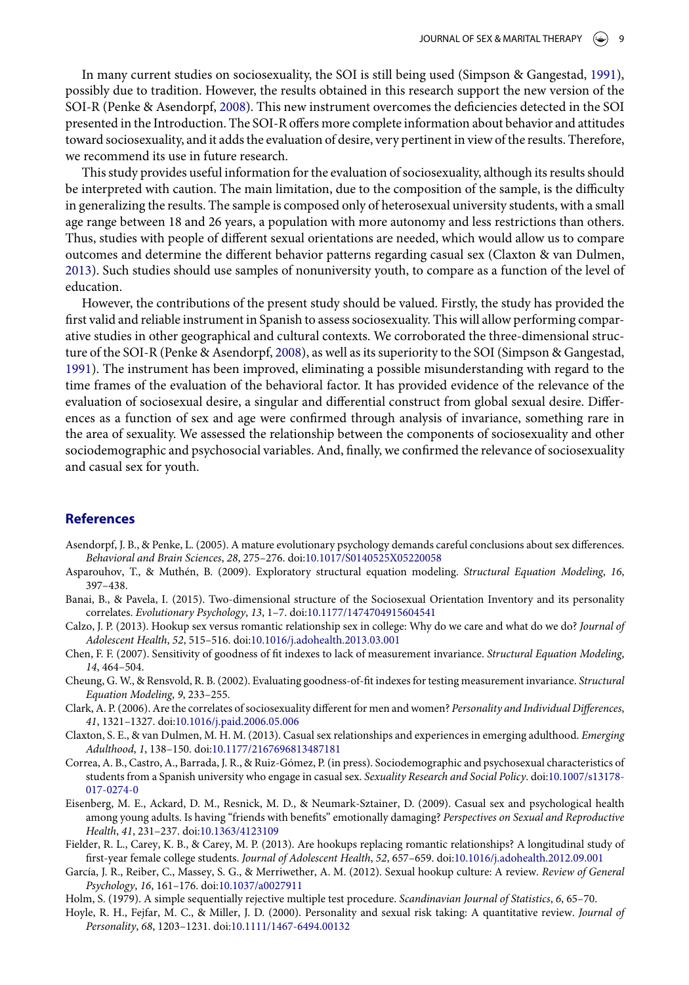In many current studies on sociosexuality, the SOI is still being used (Simpson & Gangestad, [1991\)](#page-9-2), possibly due to tradition. However, the results obtained in this research support the new version of the SOI-R (Penke & Asendorpf, [2008\)](#page-9-8). This new instrument overcomes the deficiencies detected in the SOI presented in the Introduction. The SOI-R offers more complete information about behavior and attitudes toward sociosexuality, and it adds the evaluation of desire, very pertinent in view of the results. Therefore, we recommend its use in future research.

This study provides useful information for the evaluation of sociosexuality, although its results should be interpreted with caution. The main limitation, due to the composition of the sample, is the difficulty in generalizing the results. The sample is composed only of heterosexual university students, with a small age range between 18 and 26 years, a population with more autonomy and less restrictions than others. Thus, studies with people of different sexual orientations are needed, which would allow us to compare outcomes and determine the different behavior patterns regarding casual sex (Claxton & van Dulmen, [2013\)](#page-8-4). Such studies should use samples of nonuniversity youth, to compare as a function of the level of education.

However, the contributions of the present study should be valued. Firstly, the study has provided the first valid and reliable instrument in Spanish to assess sociosexuality. This will allow performing comparative studies in other geographical and cultural contexts. We corroborated the three-dimensional structure of the SOI-R (Penke & Asendorpf, [2008\)](#page-9-8), as well as its superiority to the SOI (Simpson & Gangestad, [1991\)](#page-9-2). The instrument has been improved, eliminating a possible misunderstanding with regard to the time frames of the evaluation of the behavioral factor. It has provided evidence of the relevance of the evaluation of sociosexual desire, a singular and differential construct from global sexual desire. Differences as a function of sex and age were confirmed through analysis of invariance, something rare in the area of sexuality. We assessed the relationship between the components of sociosexuality and other sociodemographic and psychosocial variables. And, finally, we confirmed the relevance of sociosexuality and casual sex for youth.

## **References**

- <span id="page-8-1"></span>Asendorpf, J. B., & Penke, L. (2005). A mature evolutionary psychology demands careful conclusions about sex differences. *Behavioral and Brain Sciences*, *28*, 275–276. doi[:10.1017/S0140525X05220058](https://doi.org/10.1017/S0140525X05220058)
- <span id="page-8-7"></span>Asparouhov, T., & Muthén, B. (2009). Exploratory structural equation modeling. *Structural Equation Modeling*, *16*, 397–438.
- <span id="page-8-2"></span>Banai, B., & Pavela, I. (2015). Two-dimensional structure of the Sociosexual Orientation Inventory and its personality correlates. *Evolutionary Psychology*, *13*, 1–7. doi[:10.1177/1474704915604541](https://doi.org/10.1177/1474704915604541)
- <span id="page-8-11"></span>Calzo, J. P. (2013). Hookup sex versus romantic relationship sex in college: Why do we care and what do we do? *Journal of Adolescent Health*, *52*, 515–516. doi[:10.1016/j.adohealth.2013.03.001](https://doi.org/10.1016/j.adohealth.2013.03.001)
- <span id="page-8-8"></span>Chen, F. F. (2007). Sensitivity of goodness of fit indexes to lack of measurement invariance. *Structural Equation Modeling*, *14*, 464–504.
- <span id="page-8-9"></span>Cheung, G. W., & Rensvold, R. B. (2002). Evaluating goodness-of-fit indexes for testing measurement invariance. *Structural Equation Modeling*, *9*, 233–255.
- <span id="page-8-3"></span>Clark, A. P. (2006). Are the correlates of sociosexuality different for men and women? *Personality and Individual Differences*, *41*, 1321–1327. doi[:10.1016/j.paid.2006.05.006](https://doi.org/10.1016/j.paid.2006.05.006)
- <span id="page-8-4"></span>Claxton, S. E., & van Dulmen, M. H. M. (2013). Casual sex relationships and experiences in emerging adulthood. *Emerging Adulthood*, *1*, 138–150. doi[:10.1177/2167696813487181](https://doi.org/10.1177/2167696813487181)
- <span id="page-8-12"></span>Correa, A. B., Castro, A., Barrada, J. R., & Ruiz-Gómez, P. (in press). Sociodemographic and psychosexual characteristics of [students from a Spanish university who engage in casual sex.](https://doi.org/10.1007/s13178-017-0274-0) *Sexuality Research and Social Policy*. doi:10.1007/s13178- 017-0274-0
- <span id="page-8-6"></span>Eisenberg, M. E., Ackard, D. M., Resnick, M. D., & Neumark-Sztainer, D. (2009). Casual sex and psychological health among young adults. Is having "friends with benefits" emotionally damaging? *Perspectives on Sexual and Reproductive Health*, *41*, 231–237. doi[:10.1363/4123109](https://doi.org/10.1363/4123109)
- <span id="page-8-13"></span>Fielder, R. L., Carey, K. B., & Carey, M. P. (2013). Are hookups replacing romantic relationships? A longitudinal study of first-year female college students. *Journal of Adolescent Health*, *52*, 657–659. doi[:10.1016/j.adohealth.2012.09.001](https://doi.org/10.1016/j.adohealth.2012.09.001)
- <span id="page-8-0"></span>García, J. R., Reiber, C., Massey, S. G., & Merriwether, A. M. (2012). Sexual hookup culture: A review. *Review of General Psychology*, *16*, 161–176. doi[:10.1037/a0027911](https://doi.org/10.1037/a0027911)
- <span id="page-8-10"></span>Holm, S. (1979). A simple sequentially rejective multiple test procedure. *Scandinavian Journal of Statistics*, *6*, 65–70.
- <span id="page-8-5"></span>Hoyle, R. H., Fejfar, M. C., & Miller, J. D. (2000). Personality and sexual risk taking: A quantitative review. *Journal of Personality*, *68*, 1203–1231. doi[:10.1111/1467-6494.00132](https://doi.org/10.1111/1467-6494.00132)